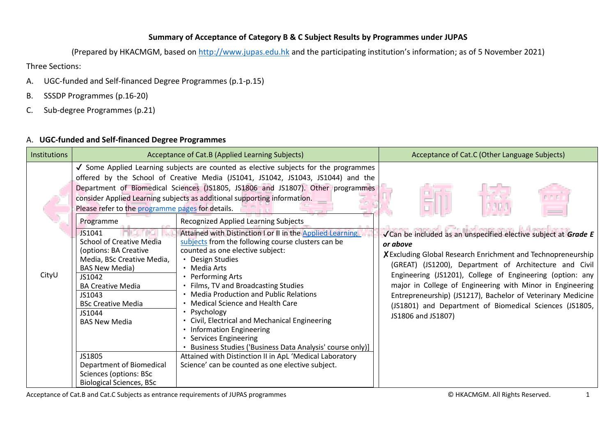## **Summary of Acceptance of Category B & C Subject Results by Programmes under JUPAS**

(Prepared by HKACMGM, based on [http://www.jupas.edu.hk](http://www.jupas.edu.hk/) and the participating institution's information; as of 5 November 2021)

Three Sections:

- A. UGC-funded and Self-financed Degree Programmes (p.1-p.15)
- B. SSSDP Programmes (p.16-20)
- C. Sub-degree Programmes (p.21)

## A. **UGC-funded and Self-financed Degree Programmes**

| <b>Institutions</b> |                                                                                                                                                                                                                                                                                                                                                                                                              | Acceptance of Cat.B (Applied Learning Subjects)                                                                                                                                                                                                                                                                                                                                                                                                                                                                                                                                                                                                                                                                                                                                                                                                                                                                                                                                                                                    | Acceptance of Cat.C (Other Language Subjects)                                                                                                                                                                                                                                                                                                                                                                                                                                  |
|---------------------|--------------------------------------------------------------------------------------------------------------------------------------------------------------------------------------------------------------------------------------------------------------------------------------------------------------------------------------------------------------------------------------------------------------|------------------------------------------------------------------------------------------------------------------------------------------------------------------------------------------------------------------------------------------------------------------------------------------------------------------------------------------------------------------------------------------------------------------------------------------------------------------------------------------------------------------------------------------------------------------------------------------------------------------------------------------------------------------------------------------------------------------------------------------------------------------------------------------------------------------------------------------------------------------------------------------------------------------------------------------------------------------------------------------------------------------------------------|--------------------------------------------------------------------------------------------------------------------------------------------------------------------------------------------------------------------------------------------------------------------------------------------------------------------------------------------------------------------------------------------------------------------------------------------------------------------------------|
| CityU               | Please refer to the programme pages for details.<br>Programme<br>JS1041<br><b>School of Creative Media</b><br>(options: BA Creative<br>Media, BSc Creative Media,<br><b>BAS New Media)</b><br>JS1042<br><b>BA Creative Media</b><br>JS1043<br><b>BSc Creative Media</b><br>JS1044<br><b>BAS New Media</b><br>JS1805<br>Department of Biomedical<br>Sciences (options: BSc<br><b>Biological Sciences, BSc</b> | √ Some Applied Learning subjects are counted as elective subjects for the programmes<br>offered by the School of Creative Media (JS1041, JS1042, JS1043, JS1044) and the<br>Department of Biomedical Sciences (JS1805, JS1806 and JS1807). Other programmes<br>consider Applied Learning subjects as additional supporting information.<br><b>Recognized Applied Learning Subjects</b><br>Attained with Distinction I or II in the Applied Learning<br>subjects from the following course clusters can be<br>counted as one elective subject:<br>• Design Studies<br>• Media Arts<br>• Performing Arts<br>• Films, TV and Broadcasting Studies<br>• Media Production and Public Relations<br>• Medical Science and Health Care<br>• Psychology<br>• Civil, Electrical and Mechanical Engineering<br>• Information Engineering<br>• Services Engineering<br>Business Studies ('Business Data Analysis' course only)]<br>Attained with Distinction II in ApL 'Medical Laboratory<br>Science' can be counted as one elective subject. | √Can be included as an unspecified elective subject at Grade E<br>or above<br>X Excluding Global Research Enrichment and Technopreneurship<br>(GREAT) (JS1200), Department of Architecture and Civil<br>Engineering (JS1201), College of Engineering (option: any<br>major in College of Engineering with Minor in Engineering<br>Entrepreneurship) (JS1217), Bachelor of Veterinary Medicine<br>(JS1801) and Department of Biomedical Sciences (JS1805,<br>JS1806 and JS1807) |

Acceptance of Cat.B and Cat.C Subjects as entrance requirements of JUPAS programmes **CALL COMMENT CONSTRANT CONTE**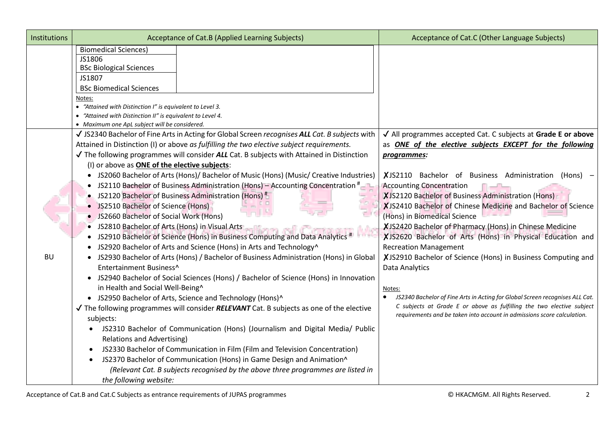| Institutions | Acceptance of Cat.B (Applied Learning Subjects)                                                                                                                                                                                                                                                                                                                                                                                                                                                                                                                                                                                                                                                                                                                                                                                                                                                                                                                                                                                                                                                                                                                                                                                                                                                                                                                                                                                                                                                                                                                                                                                                                                                                                                                                                 | Acceptance of Cat.C (Other Language Subjects)                                                                                                                                                                                                                                                                                                                                                                                                                                                                                                                                                                                                                                                                                                                                                                                                                                            |
|--------------|-------------------------------------------------------------------------------------------------------------------------------------------------------------------------------------------------------------------------------------------------------------------------------------------------------------------------------------------------------------------------------------------------------------------------------------------------------------------------------------------------------------------------------------------------------------------------------------------------------------------------------------------------------------------------------------------------------------------------------------------------------------------------------------------------------------------------------------------------------------------------------------------------------------------------------------------------------------------------------------------------------------------------------------------------------------------------------------------------------------------------------------------------------------------------------------------------------------------------------------------------------------------------------------------------------------------------------------------------------------------------------------------------------------------------------------------------------------------------------------------------------------------------------------------------------------------------------------------------------------------------------------------------------------------------------------------------------------------------------------------------------------------------------------------------|------------------------------------------------------------------------------------------------------------------------------------------------------------------------------------------------------------------------------------------------------------------------------------------------------------------------------------------------------------------------------------------------------------------------------------------------------------------------------------------------------------------------------------------------------------------------------------------------------------------------------------------------------------------------------------------------------------------------------------------------------------------------------------------------------------------------------------------------------------------------------------------|
|              | <b>Biomedical Sciences)</b><br>JS1806<br><b>BSc Biological Sciences</b><br>JS1807<br><b>BSc Biomedical Sciences</b><br>Notes:<br>• "Attained with Distinction I" is equivalent to Level 3.<br>• "Attained with Distinction II" is equivalent to Level 4.<br>• Maximum one ApL subject will be considered.                                                                                                                                                                                                                                                                                                                                                                                                                                                                                                                                                                                                                                                                                                                                                                                                                                                                                                                                                                                                                                                                                                                                                                                                                                                                                                                                                                                                                                                                                       |                                                                                                                                                                                                                                                                                                                                                                                                                                                                                                                                                                                                                                                                                                                                                                                                                                                                                          |
| <b>BU</b>    | √ JS2340 Bachelor of Fine Arts in Acting for Global Screen recognises ALL Cat. B subjects with<br>Attained in Distinction (I) or above as fulfilling the two elective subject requirements.<br>$\sqrt{}$ The following programmes will consider ALL Cat. B subjects with Attained in Distinction<br>(I) or above as <b>ONE of the elective subjects:</b><br>• JS2060 Bachelor of Arts (Hons)/ Bachelor of Music (Hons) (Music/ Creative Industries)<br>JS2110 Bachelor of Business Administration (Hons) - Accounting Concentration <sup>#</sup><br>$\bullet$<br>JS2120 Bachelor of Business Administration (Hons) <sup>#</sup><br>JS2510 Bachelor of Science (Hons)<br>JS2660 Bachelor of Social Work (Hons)<br>JS2810 Bachelor of Arts (Hons) in Visual Arts<br>JS2910 Bachelor of Science (Hons) in Business Computing and Data Analytics #<br>JS2920 Bachelor of Arts and Science (Hons) in Arts and Technology^<br>JS2930 Bachelor of Arts (Hons) / Bachelor of Business Administration (Hons) in Global<br>$\bullet$<br>Entertainment Business^<br>• JS2940 Bachelor of Social Sciences (Hons) / Bachelor of Science (Hons) in Innovation<br>in Health and Social Well-Being^<br>• JS2950 Bachelor of Arts, Science and Technology (Hons)^<br>$\sqrt{}$ The following programmes will consider <b>RELEVANT</b> Cat. B subjects as one of the elective<br>subjects:<br>JS2310 Bachelor of Communication (Hons) (Journalism and Digital Media/ Public<br><b>Relations and Advertising)</b><br>JS2330 Bachelor of Communication in Film (Film and Television Concentration)<br>$\bullet$<br>JS2370 Bachelor of Communication (Hons) in Game Design and Animation^<br>$\bullet$<br>(Relevant Cat. B subjects recognised by the above three programmes are listed in<br>the following website: | √ All programmes accepted Cat. C subjects at Grade E or above<br>as <b>ONE of the elective subjects EXCEPT for the following</b><br>programmes:<br>XJS2110 Bachelor of Business Administration (Hons) -<br><b>Accounting Concentration</b><br>XJS2120 Bachelor of Business Administration (Hons)<br>XJS2410 Bachelor of Chinese Medicine and Bachelor of Science<br>(Hons) in Biomedical Science<br>XJS2420 Bachelor of Pharmacy (Hons) in Chinese Medicine<br>XJS2620 Bachelor of Arts (Hons) in Physical Education and<br><b>Recreation Management</b><br>XJS2910 Bachelor of Science (Hons) in Business Computing and<br>Data Analytics<br>Notes:<br>JS2340 Bachelor of Fine Arts in Acting for Global Screen recognises ALL Cat.<br>C subjects at Grade E or above as fulfilling the two elective subject<br>requirements and be taken into account in admissions score calculation. |

Acceptance of Cat.B and Cat.C Subjects as entrance requirements of JUPAS programmes **Exercise 2 COMBING ALL RIGHTS ACCOLLY ACCOLLY ACCOLLY ACCOLLY ACCOLLY ACCOLLY ACCOLLY ACCOLLY ACCOLLY ACCOLLY ACCOLLY ACCOLLY ACCOLLY A**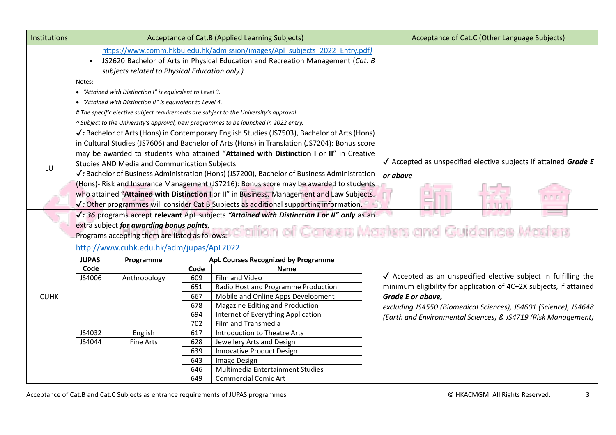| <b>Institutions</b> |              |                                                            |      | Acceptance of Cat.B (Applied Learning Subjects)                                                         | Acceptance of Cat.C (Other Language Subjects) |                                                                           |
|---------------------|--------------|------------------------------------------------------------|------|---------------------------------------------------------------------------------------------------------|-----------------------------------------------|---------------------------------------------------------------------------|
|                     |              |                                                            |      | https://www.comm.hkbu.edu.hk/admission/images/Apl_subjects_2022_Entry.pdf)                              |                                               |                                                                           |
|                     | $\bullet$    |                                                            |      | JS2620 Bachelor of Arts in Physical Education and Recreation Management (Cat. B                         |                                               |                                                                           |
|                     |              | subjects related to Physical Education only.)              |      |                                                                                                         |                                               |                                                                           |
|                     | Notes:       |                                                            |      |                                                                                                         |                                               |                                                                           |
|                     |              | • "Attained with Distinction I" is equivalent to Level 3.  |      |                                                                                                         |                                               |                                                                           |
|                     |              | • "Attained with Distinction II" is equivalent to Level 4. |      |                                                                                                         |                                               |                                                                           |
|                     |              |                                                            |      | # The specific elective subject requirements are subject to the University's approval.                  |                                               |                                                                           |
|                     |              |                                                            |      | ^ Subject to the University's approval, new programmes to be launched in 2022 entry.                    |                                               |                                                                           |
|                     |              |                                                            |      |                                                                                                         |                                               |                                                                           |
|                     |              |                                                            |      | √: Bachelor of Arts (Hons) in Contemporary English Studies (JS7503), Bachelor of Arts (Hons)            |                                               |                                                                           |
|                     |              |                                                            |      | in Cultural Studies (JS7606) and Bachelor of Arts (Hons) in Translation (JS7204): Bonus score           |                                               |                                                                           |
|                     |              |                                                            |      | may be awarded to students who attained "Attained with Distinction I or II" in Creative                 |                                               | $\sqrt{\ }$ Accepted as unspecified elective subjects if attained Grade E |
| LU                  |              | <b>Studies AND Media and Communication Subjects</b>        |      |                                                                                                         |                                               |                                                                           |
|                     |              |                                                            |      | $\checkmark$ : Bachelor of Business Administration (Hons) (JS7200), Bachelor of Business Administration |                                               | or above                                                                  |
|                     |              |                                                            |      | (Hons)- Risk and Insurance Management (JS7216): Bonus score may be awarded to students                  |                                               |                                                                           |
|                     |              |                                                            |      | who attained "Attained with Distinction I or II" in Business, Management and Law Subjects.              |                                               |                                                                           |
|                     |              |                                                            |      | $\checkmark$ : Other programmes will consider Cat B Subjects as additional supporting information.      |                                               |                                                                           |
|                     |              |                                                            |      | V: 36 programs accept relevant ApL subjects "Attained with Distinction I or II" only as an              |                                               |                                                                           |
|                     |              | extra subject for awarding bonus points.                   |      |                                                                                                         |                                               |                                                                           |
|                     |              | Programs accepting them are listed as follows:             |      |                                                                                                         |                                               | ciation of Careers Masters and Guidance Masters                           |
|                     |              | http://www.cuhk.edu.hk/adm/jupas/ApL2022                   |      |                                                                                                         |                                               |                                                                           |
|                     | <b>JUPAS</b> | Programme                                                  |      | ApL Courses Recognized by Programme                                                                     |                                               |                                                                           |
|                     | Code         |                                                            | Code | Name                                                                                                    |                                               |                                                                           |
|                     | JS4006       | Anthropology                                               | 609  | Film and Video                                                                                          |                                               | √ Accepted as an unspecified elective subject in fulfilling the           |
|                     |              |                                                            | 651  | Radio Host and Programme Production                                                                     |                                               | minimum eligibility for application of 4C+2X subjects, if attained        |
| <b>CUHK</b>         |              |                                                            | 667  | Mobile and Online Apps Development                                                                      |                                               | Grade E or above,                                                         |
|                     |              |                                                            | 678  | Magazine Editing and Production                                                                         |                                               | excluding JS4550 (Biomedical Sciences), JS4601 (Science), JS4648          |
|                     |              |                                                            | 694  | Internet of Everything Application                                                                      |                                               | (Earth and Environmental Sciences) & JS4719 (Risk Management)             |
|                     |              |                                                            | 702  | Film and Transmedia                                                                                     |                                               |                                                                           |
|                     | JS4032       | English                                                    | 617  | <b>Introduction to Theatre Arts</b>                                                                     |                                               |                                                                           |
|                     | JS4044       | <b>Fine Arts</b>                                           | 628  | Jewellery Arts and Design                                                                               |                                               |                                                                           |
|                     |              |                                                            | 639  | Innovative Product Design                                                                               |                                               |                                                                           |
|                     |              |                                                            | 643  | Image Design                                                                                            |                                               |                                                                           |
|                     |              |                                                            | 646  | Multimedia Entertainment Studies                                                                        |                                               |                                                                           |
|                     |              |                                                            | 649  | <b>Commercial Comic Art</b>                                                                             |                                               |                                                                           |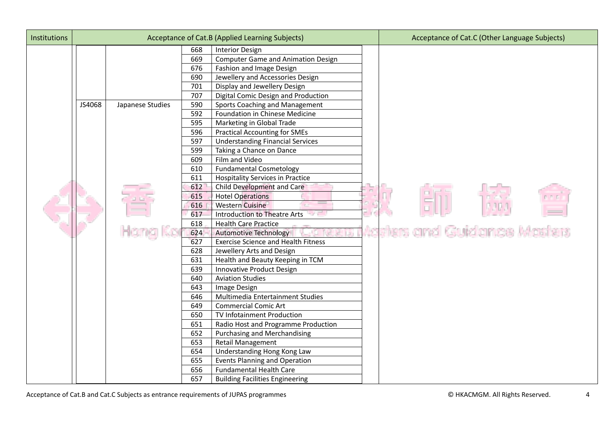| <b>Institutions</b> |        |                  |     | Acceptance of Cat.B (Applied Learning Subjects) | Acceptance of Cat.C (Other Language Subjects) |
|---------------------|--------|------------------|-----|-------------------------------------------------|-----------------------------------------------|
|                     |        |                  | 668 | <b>Interior Design</b>                          |                                               |
|                     |        |                  | 669 | <b>Computer Game and Animation Design</b>       |                                               |
|                     |        |                  | 676 | Fashion and Image Design                        |                                               |
|                     |        |                  | 690 | Jewellery and Accessories Design                |                                               |
|                     |        |                  | 701 | Display and Jewellery Design                    |                                               |
|                     |        |                  | 707 | Digital Comic Design and Production             |                                               |
|                     | JS4068 | Japanese Studies | 590 | <b>Sports Coaching and Management</b>           |                                               |
|                     |        |                  | 592 | Foundation in Chinese Medicine                  |                                               |
|                     |        |                  | 595 | Marketing in Global Trade                       |                                               |
|                     |        |                  | 596 | <b>Practical Accounting for SMEs</b>            |                                               |
|                     |        |                  | 597 | <b>Understanding Financial Services</b>         |                                               |
|                     |        |                  | 599 | Taking a Chance on Dance                        |                                               |
|                     |        |                  | 609 | Film and Video                                  |                                               |
|                     |        |                  | 610 | <b>Fundamental Cosmetology</b>                  |                                               |
|                     |        |                  | 611 | <b>Hospitality Services in Practice</b>         |                                               |
|                     |        |                  | 612 | Child Development and Care                      |                                               |
|                     |        |                  | 615 | <b>Hotel Operations</b>                         |                                               |
|                     |        |                  | 616 | <b>Western Cuisine</b>                          |                                               |
|                     |        |                  | 617 | <b>Introduction to Theatre Arts</b>             |                                               |
|                     |        |                  | 618 | <b>Health Care Practice</b>                     |                                               |
|                     |        |                  | 624 | <b>Automotive Technology</b>                    | Aasters and Guidance Masters                  |
|                     |        |                  | 627 | <b>Exercise Science and Health Fitness</b>      |                                               |
|                     |        |                  | 628 | Jewellery Arts and Design                       |                                               |
|                     |        |                  | 631 | Health and Beauty Keeping in TCM                |                                               |
|                     |        |                  | 639 | Innovative Product Design                       |                                               |
|                     |        |                  | 640 | <b>Aviation Studies</b>                         |                                               |
|                     |        |                  | 643 | Image Design                                    |                                               |
|                     |        |                  | 646 | Multimedia Entertainment Studies                |                                               |
|                     |        |                  | 649 | <b>Commercial Comic Art</b>                     |                                               |
|                     |        |                  | 650 | TV Infotainment Production                      |                                               |
|                     |        |                  | 651 | Radio Host and Programme Production             |                                               |
|                     |        |                  | 652 | <b>Purchasing and Merchandising</b>             |                                               |
|                     |        |                  | 653 | Retail Management                               |                                               |
|                     |        |                  | 654 | Understanding Hong Kong Law                     |                                               |
|                     |        |                  | 655 | <b>Events Planning and Operation</b>            |                                               |
|                     |        |                  | 656 | <b>Fundamental Health Care</b>                  |                                               |
|                     |        |                  | 657 | <b>Building Facilities Engineering</b>          |                                               |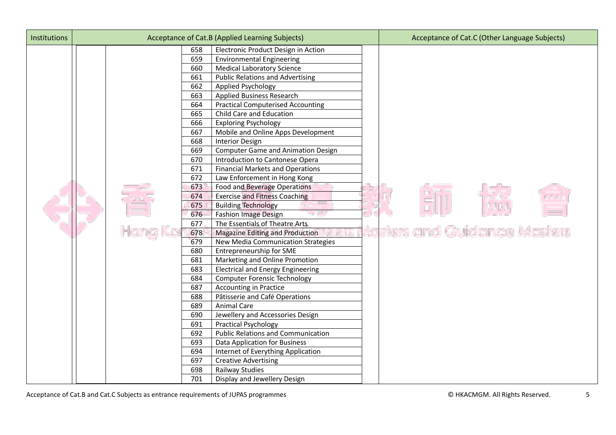| Institutions |  |     | Acceptance of Cat.B (Applied Learning Subjects) | Acceptance of Cat.C (Other Language Subjects) |
|--------------|--|-----|-------------------------------------------------|-----------------------------------------------|
|              |  | 658 | Electronic Product Design in Action             |                                               |
|              |  | 659 | <b>Environmental Engineering</b>                |                                               |
|              |  | 660 | <b>Medical Laboratory Science</b>               |                                               |
|              |  | 661 | <b>Public Relations and Advertising</b>         |                                               |
|              |  | 662 | Applied Psychology                              |                                               |
|              |  | 663 | Applied Business Research                       |                                               |
|              |  | 664 | <b>Practical Computerised Accounting</b>        |                                               |
|              |  | 665 | Child Care and Education                        |                                               |
|              |  | 666 | <b>Exploring Psychology</b>                     |                                               |
|              |  | 667 | Mobile and Online Apps Development              |                                               |
|              |  | 668 | <b>Interior Design</b>                          |                                               |
|              |  | 669 | <b>Computer Game and Animation Design</b>       |                                               |
|              |  | 670 | Introduction to Cantonese Opera                 |                                               |
|              |  | 671 | <b>Financial Markets and Operations</b>         |                                               |
|              |  | 672 | Law Enforcement in Hong Kong                    |                                               |
|              |  | 673 | Food and Beverage Operations                    |                                               |
|              |  | 674 | <b>Exercise and Fitness Coaching</b>            |                                               |
|              |  | 675 | <b>Building Technology</b>                      |                                               |
|              |  | 676 | <b>Fashion Image Design</b>                     |                                               |
|              |  | 677 | The Essentials of Theatre Arts                  |                                               |
|              |  | 678 | <b>Magazine Editing and Production</b>          | Adsters and Guidance Masters                  |
|              |  | 679 | New Media Communication Strategies              |                                               |
|              |  | 680 | Entrepreneurship for SME                        |                                               |
|              |  | 681 | Marketing and Online Promotion                  |                                               |
|              |  | 683 | <b>Electrical and Energy Engineering</b>        |                                               |
|              |  | 684 | <b>Computer Forensic Technology</b>             |                                               |
|              |  | 687 | <b>Accounting in Practice</b>                   |                                               |
|              |  | 688 | Pâtisserie and Café Operations                  |                                               |
|              |  | 689 | <b>Animal Care</b>                              |                                               |
|              |  | 690 | Jewellery and Accessories Design                |                                               |
|              |  | 691 | <b>Practical Psychology</b>                     |                                               |
|              |  | 692 | <b>Public Relations and Communication</b>       |                                               |
|              |  | 693 | Data Application for Business                   |                                               |
|              |  | 694 | Internet of Everything Application              |                                               |
|              |  | 697 | <b>Creative Advertising</b>                     |                                               |
|              |  | 698 | Railway Studies                                 |                                               |
|              |  | 701 | Display and Jewellery Design                    |                                               |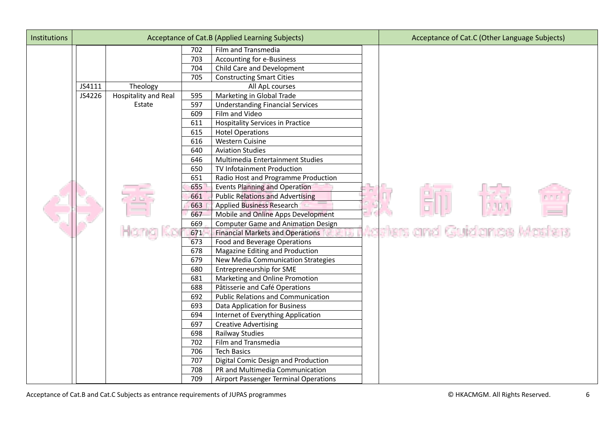| Institutions |        |                      |     | Acceptance of Cat.B (Applied Learning Subjects) | Acceptance of Cat.C (Other Language Subjects) |
|--------------|--------|----------------------|-----|-------------------------------------------------|-----------------------------------------------|
|              |        |                      | 702 | Film and Transmedia                             |                                               |
|              |        |                      | 703 | Accounting for e-Business                       |                                               |
|              |        |                      | 704 | Child Care and Development                      |                                               |
|              |        |                      | 705 | <b>Constructing Smart Cities</b>                |                                               |
|              | JS4111 | Theology             |     | All ApL courses                                 |                                               |
|              | JS4226 | Hospitality and Real | 595 | Marketing in Global Trade                       |                                               |
|              |        | Estate               | 597 | <b>Understanding Financial Services</b>         |                                               |
|              |        |                      | 609 | Film and Video                                  |                                               |
|              |        |                      | 611 | <b>Hospitality Services in Practice</b>         |                                               |
|              |        |                      | 615 | <b>Hotel Operations</b>                         |                                               |
|              |        |                      | 616 | <b>Western Cuisine</b>                          |                                               |
|              |        |                      | 640 | <b>Aviation Studies</b>                         |                                               |
|              |        |                      | 646 | Multimedia Entertainment Studies                |                                               |
|              |        |                      | 650 | TV Infotainment Production                      |                                               |
|              |        |                      | 651 | Radio Host and Programme Production             |                                               |
|              |        |                      | 655 | <b>Events Planning and Operation</b>            |                                               |
|              |        |                      | 661 | <b>Public Relations and Advertising</b>         |                                               |
|              |        |                      | 663 | <b>Applied Business Research</b>                |                                               |
|              |        |                      | 667 | Mobile and Online Apps Development              |                                               |
|              |        |                      | 669 | <b>Computer Game and Animation Design</b>       |                                               |
|              |        | Hona                 | 671 | <b>Financial Markets and Operations</b>         | Adsters and Guidance Masters                  |
|              |        |                      | 673 | Food and Beverage Operations                    |                                               |
|              |        |                      | 678 | Magazine Editing and Production                 |                                               |
|              |        |                      | 679 | New Media Communication Strategies              |                                               |
|              |        |                      | 680 | Entrepreneurship for SME                        |                                               |
|              |        |                      | 681 | Marketing and Online Promotion                  |                                               |
|              |        |                      | 688 | Pâtisserie and Café Operations                  |                                               |
|              |        |                      | 692 | <b>Public Relations and Communication</b>       |                                               |
|              |        |                      | 693 | Data Application for Business                   |                                               |
|              |        |                      | 694 | Internet of Everything Application              |                                               |
|              |        |                      | 697 | <b>Creative Advertising</b>                     |                                               |
|              |        |                      | 698 | Railway Studies                                 |                                               |
|              |        |                      | 702 | Film and Transmedia                             |                                               |
|              |        |                      | 706 | <b>Tech Basics</b>                              |                                               |
|              |        |                      | 707 | Digital Comic Design and Production             |                                               |
|              |        |                      | 708 | PR and Multimedia Communication                 |                                               |
|              |        |                      | 709 | <b>Airport Passenger Terminal Operations</b>    |                                               |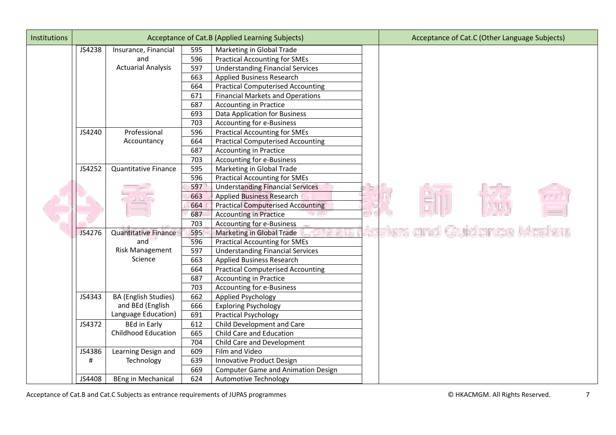| <b>Institutions</b> |        |                             |     | Acceptance of Cat.B (Applied Learning Subjects) | Acceptance of Cat.C (Other Language Subjects) |
|---------------------|--------|-----------------------------|-----|-------------------------------------------------|-----------------------------------------------|
|                     | JS4238 | Insurance, Financial        | 595 | Marketing in Global Trade                       |                                               |
|                     |        | and                         | 596 | <b>Practical Accounting for SMEs</b>            |                                               |
|                     |        | <b>Actuarial Analysis</b>   | 597 | <b>Understanding Financial Services</b>         |                                               |
|                     |        |                             | 663 | Applied Business Research                       |                                               |
|                     |        |                             | 664 | <b>Practical Computerised Accounting</b>        |                                               |
|                     |        |                             | 671 | <b>Financial Markets and Operations</b>         |                                               |
|                     |        |                             | 687 | <b>Accounting in Practice</b>                   |                                               |
|                     |        |                             | 693 | Data Application for Business                   |                                               |
|                     |        |                             | 703 | Accounting for e-Business                       |                                               |
|                     | JS4240 | Professional                | 596 | <b>Practical Accounting for SMEs</b>            |                                               |
|                     |        | Accountancy                 | 664 | <b>Practical Computerised Accounting</b>        |                                               |
|                     |        |                             | 687 | <b>Accounting in Practice</b>                   |                                               |
|                     |        |                             | 703 | Accounting for e-Business                       |                                               |
|                     | JS4252 | <b>Quantitative Finance</b> | 595 | Marketing in Global Trade                       |                                               |
|                     |        |                             | 596 | <b>Practical Accounting for SMEs</b>            |                                               |
|                     |        |                             | 597 | <b>Understanding Financial Services</b>         |                                               |
|                     |        |                             | 663 | <b>Applied Business Research</b>                |                                               |
|                     |        |                             | 664 | <b>Practical Computerised Accounting</b>        |                                               |
|                     |        |                             | 687 | <b>Accounting in Practice</b>                   |                                               |
|                     |        |                             | 703 | Accounting for e-Business                       |                                               |
|                     | JS4276 | <b>Quantitative Finance</b> | 595 | Marketing in Global Trade                       | sters and Guidance Masters                    |
|                     |        | and                         | 596 | <b>Practical Accounting for SMEs</b>            |                                               |
|                     |        | Risk Management             | 597 | <b>Understanding Financial Services</b>         |                                               |
|                     |        | Science                     | 663 | Applied Business Research                       |                                               |
|                     |        |                             | 664 | <b>Practical Computerised Accounting</b>        |                                               |
|                     |        |                             | 687 | <b>Accounting in Practice</b>                   |                                               |
|                     |        |                             | 703 | Accounting for e-Business                       |                                               |
|                     | JS4343 | BA (English Studies)        | 662 | Applied Psychology                              |                                               |
|                     |        | and BEd (English            | 666 | <b>Exploring Psychology</b>                     |                                               |
|                     |        | Language Education)         | 691 | <b>Practical Psychology</b>                     |                                               |
|                     | JS4372 | <b>BEd in Early</b>         | 612 | Child Development and Care                      |                                               |
|                     |        | <b>Childhood Education</b>  | 665 | Child Care and Education                        |                                               |
|                     |        |                             | 704 | Child Care and Development                      |                                               |
|                     | JS4386 | Learning Design and         | 609 | Film and Video                                  |                                               |
|                     | #      | Technology                  | 639 | Innovative Product Design                       |                                               |
|                     |        |                             | 669 | <b>Computer Game and Animation Design</b>       |                                               |
|                     | JS4408 | <b>BEng in Mechanical</b>   | 624 | Automotive Technology                           |                                               |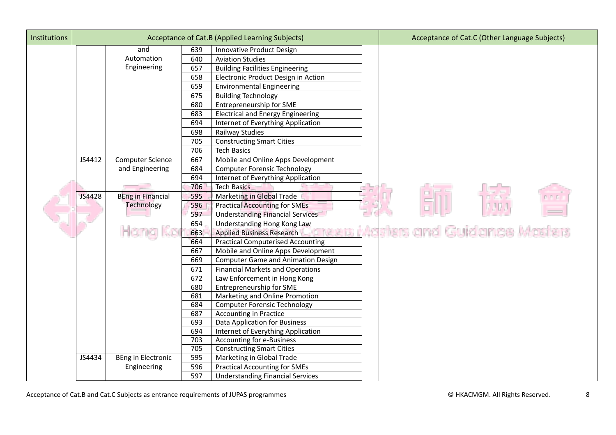| <b>Institutions</b> |        |                           |            | Acceptance of Cat.B (Applied Learning Subjects)                                 | Acceptance of Cat.C (Other Language Subjects) |
|---------------------|--------|---------------------------|------------|---------------------------------------------------------------------------------|-----------------------------------------------|
|                     |        | and                       | 639        | <b>Innovative Product Design</b>                                                |                                               |
|                     |        | Automation                | 640        | <b>Aviation Studies</b>                                                         |                                               |
|                     |        | Engineering               | 657        | <b>Building Facilities Engineering</b>                                          |                                               |
|                     |        |                           | 658        | Electronic Product Design in Action                                             |                                               |
|                     |        |                           | 659        | <b>Environmental Engineering</b>                                                |                                               |
|                     |        |                           | 675        | <b>Building Technology</b>                                                      |                                               |
|                     |        |                           | 680        | Entrepreneurship for SME                                                        |                                               |
|                     |        |                           | 683        | <b>Electrical and Energy Engineering</b>                                        |                                               |
|                     |        |                           | 694        | Internet of Everything Application                                              |                                               |
|                     |        |                           | 698        | Railway Studies                                                                 |                                               |
|                     |        |                           | 705        | <b>Constructing Smart Cities</b>                                                |                                               |
|                     |        |                           | 706        | <b>Tech Basics</b>                                                              |                                               |
|                     | JS4412 | <b>Computer Science</b>   | 667        | Mobile and Online Apps Development                                              |                                               |
|                     |        | and Engineering           | 684        | <b>Computer Forensic Technology</b>                                             |                                               |
|                     |        |                           | 694        | Internet of Everything Application                                              |                                               |
|                     |        |                           | 706        | <b>Tech Basics</b>                                                              |                                               |
|                     | JS4428 | <b>BEng in Financial</b>  | 595        | Marketing in Global Trade                                                       |                                               |
|                     |        | Technology                | 596        | <b>Practical Accounting for SMEs</b>                                            |                                               |
|                     |        |                           | 597        | <b>Understanding Financial Services</b>                                         |                                               |
|                     |        |                           | 654        | Understanding Hong Kong Law                                                     |                                               |
|                     |        | Hong Ko                   | 663        | <b>Applied Business Research</b>                                                | Adsters and Guidance Masters                  |
|                     |        |                           | 664        | <b>Practical Computerised Accounting</b>                                        |                                               |
|                     |        |                           | 667        | Mobile and Online Apps Development                                              |                                               |
|                     |        |                           | 669        | <b>Computer Game and Animation Design</b>                                       |                                               |
|                     |        |                           | 671        | <b>Financial Markets and Operations</b>                                         |                                               |
|                     |        |                           | 672        | Law Enforcement in Hong Kong                                                    |                                               |
|                     |        |                           | 680        | Entrepreneurship for SME                                                        |                                               |
|                     |        |                           | 681        | Marketing and Online Promotion                                                  |                                               |
|                     |        |                           | 684        | <b>Computer Forensic Technology</b>                                             |                                               |
|                     |        |                           | 687        | <b>Accounting in Practice</b>                                                   |                                               |
|                     |        |                           | 693        | <b>Data Application for Business</b>                                            |                                               |
|                     |        |                           | 694        | Internet of Everything Application                                              |                                               |
|                     |        |                           | 703        | Accounting for e-Business                                                       |                                               |
|                     | JS4434 | <b>BEng in Electronic</b> | 705<br>595 | <b>Constructing Smart Cities</b>                                                |                                               |
|                     |        |                           | 596        | Marketing in Global Trade                                                       |                                               |
|                     |        | Engineering               | 597        | <b>Practical Accounting for SMEs</b><br><b>Understanding Financial Services</b> |                                               |
|                     |        |                           |            |                                                                                 |                                               |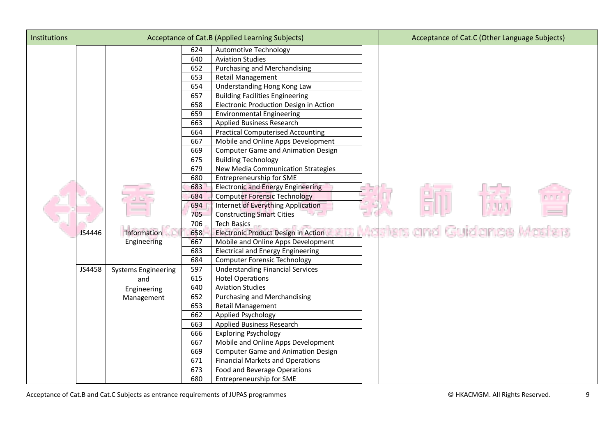| Institutions |        |                            |     | Acceptance of Cat.B (Applied Learning Subjects) | Acceptance of Cat.C (Other Language Subjects) |
|--------------|--------|----------------------------|-----|-------------------------------------------------|-----------------------------------------------|
|              |        |                            | 624 | <b>Automotive Technology</b>                    |                                               |
|              |        |                            | 640 | <b>Aviation Studies</b>                         |                                               |
|              |        |                            | 652 | Purchasing and Merchandising                    |                                               |
|              |        |                            | 653 | <b>Retail Management</b>                        |                                               |
|              |        |                            | 654 | Understanding Hong Kong Law                     |                                               |
|              |        |                            | 657 | <b>Building Facilities Engineering</b>          |                                               |
|              |        |                            | 658 | Electronic Production Design in Action          |                                               |
|              |        |                            | 659 | <b>Environmental Engineering</b>                |                                               |
|              |        |                            | 663 | Applied Business Research                       |                                               |
|              |        |                            | 664 | <b>Practical Computerised Accounting</b>        |                                               |
|              |        |                            | 667 | Mobile and Online Apps Development              |                                               |
|              |        |                            | 669 | <b>Computer Game and Animation Design</b>       |                                               |
|              |        |                            | 675 | <b>Building Technology</b>                      |                                               |
|              |        |                            | 679 | New Media Communication Strategies              |                                               |
|              |        |                            | 680 | Entrepreneurship for SME                        |                                               |
|              |        |                            | 683 | <b>Electronic and Energy Engineering</b>        |                                               |
|              |        |                            | 684 | <b>Computer Forensic Technology</b>             |                                               |
|              |        |                            | 694 | Internet of Everything Application              |                                               |
|              |        |                            | 705 | <b>Constructing Smart Cities</b>                |                                               |
|              |        |                            | 706 | <b>Tech Basics</b>                              |                                               |
|              | JS4446 | Information                | 658 | Electronic Product Design in Action             | Aasters and Guidance Masters                  |
|              |        | Engineering                | 667 | Mobile and Online Apps Development              |                                               |
|              |        |                            | 683 | <b>Electrical and Energy Engineering</b>        |                                               |
|              |        |                            | 684 | <b>Computer Forensic Technology</b>             |                                               |
|              | JS4458 | <b>Systems Engineering</b> | 597 | <b>Understanding Financial Services</b>         |                                               |
|              |        | and                        | 615 | <b>Hotel Operations</b>                         |                                               |
|              |        | Engineering                | 640 | <b>Aviation Studies</b>                         |                                               |
|              |        | Management                 | 652 | <b>Purchasing and Merchandising</b>             |                                               |
|              |        |                            | 653 | Retail Management                               |                                               |
|              |        |                            | 662 | Applied Psychology                              |                                               |
|              |        |                            | 663 | Applied Business Research                       |                                               |
|              |        |                            | 666 | <b>Exploring Psychology</b>                     |                                               |
|              |        |                            | 667 | Mobile and Online Apps Development              |                                               |
|              |        |                            | 669 | <b>Computer Game and Animation Design</b>       |                                               |
|              |        |                            | 671 | <b>Financial Markets and Operations</b>         |                                               |
|              |        |                            | 673 | Food and Beverage Operations                    |                                               |
|              |        |                            | 680 | <b>Entrepreneurship for SME</b>                 |                                               |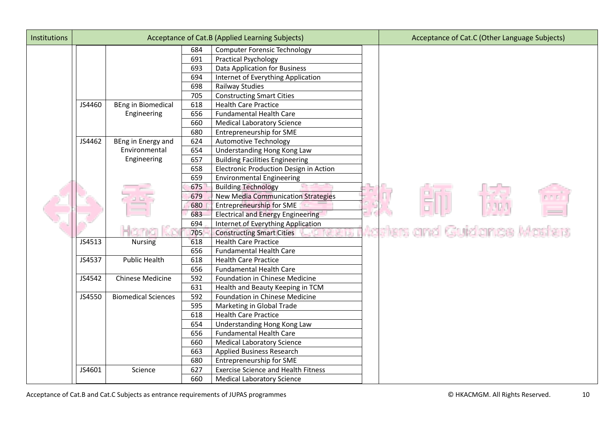| Institutions |        |                            |     | Acceptance of Cat.B (Applied Learning Subjects) | Acceptance of Cat.C (Other Language Subjects) |
|--------------|--------|----------------------------|-----|-------------------------------------------------|-----------------------------------------------|
|              |        |                            | 684 | <b>Computer Forensic Technology</b>             |                                               |
|              |        |                            | 691 | <b>Practical Psychology</b>                     |                                               |
|              |        |                            | 693 | Data Application for Business                   |                                               |
|              |        |                            | 694 | Internet of Everything Application              |                                               |
|              |        |                            | 698 | Railway Studies                                 |                                               |
|              |        |                            | 705 | <b>Constructing Smart Cities</b>                |                                               |
|              | JS4460 | <b>BEng in Biomedical</b>  | 618 | <b>Health Care Practice</b>                     |                                               |
|              |        | Engineering                | 656 | <b>Fundamental Health Care</b>                  |                                               |
|              |        |                            | 660 | <b>Medical Laboratory Science</b>               |                                               |
|              |        |                            | 680 | Entrepreneurship for SME                        |                                               |
|              | JS4462 | BEng in Energy and         | 624 | <b>Automotive Technology</b>                    |                                               |
|              |        | Environmental              | 654 | Understanding Hong Kong Law                     |                                               |
|              |        | Engineering                | 657 | <b>Building Facilities Engineering</b>          |                                               |
|              |        |                            | 658 | Electronic Production Design in Action          |                                               |
|              |        |                            | 659 | <b>Environmental Engineering</b>                |                                               |
|              |        |                            | 675 | <b>Building Technology</b>                      |                                               |
|              |        |                            | 679 | <b>New Media Communication Strategies</b>       |                                               |
|              |        |                            | 680 | <b>Entrepreneurship for SME</b>                 |                                               |
|              |        |                            | 683 | <b>Electrical and Energy Engineering</b>        |                                               |
|              |        |                            | 694 | Internet of Everything Application              |                                               |
|              |        |                            | 705 | <b>Constructing Smart Cities</b>                | Aasters and Guidance Masters                  |
|              | JS4513 | <b>Nursing</b>             | 618 | <b>Health Care Practice</b>                     |                                               |
|              |        |                            | 656 | <b>Fundamental Health Care</b>                  |                                               |
|              | JS4537 | <b>Public Health</b>       | 618 | <b>Health Care Practice</b>                     |                                               |
|              |        |                            | 656 | <b>Fundamental Health Care</b>                  |                                               |
|              | JS4542 | <b>Chinese Medicine</b>    | 592 | Foundation in Chinese Medicine                  |                                               |
|              |        |                            | 631 | Health and Beauty Keeping in TCM                |                                               |
|              | JS4550 | <b>Biomedical Sciences</b> | 592 | Foundation in Chinese Medicine                  |                                               |
|              |        |                            | 595 | Marketing in Global Trade                       |                                               |
|              |        |                            | 618 | <b>Health Care Practice</b>                     |                                               |
|              |        |                            | 654 | Understanding Hong Kong Law                     |                                               |
|              |        |                            | 656 | <b>Fundamental Health Care</b>                  |                                               |
|              |        |                            | 660 | <b>Medical Laboratory Science</b>               |                                               |
|              |        |                            | 663 | Applied Business Research                       |                                               |
|              |        |                            | 680 | Entrepreneurship for SME                        |                                               |
|              | JS4601 | Science                    | 627 | <b>Exercise Science and Health Fitness</b>      |                                               |
|              |        |                            | 660 | <b>Medical Laboratory Science</b>               |                                               |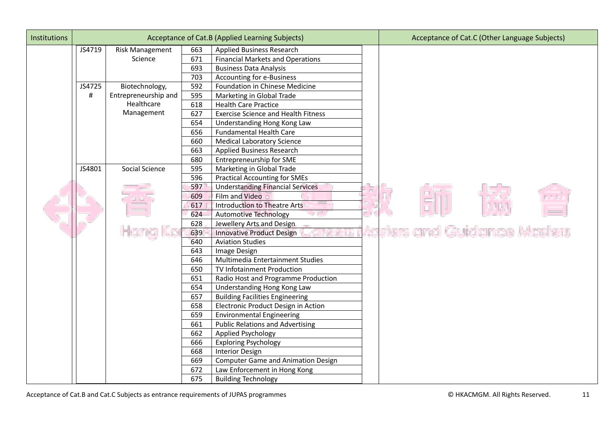| <b>Institutions</b> |        |                        |     | Acceptance of Cat.B (Applied Learning Subjects) | Acceptance of Cat.C (Other Language Subjects) |
|---------------------|--------|------------------------|-----|-------------------------------------------------|-----------------------------------------------|
|                     | JS4719 | <b>Risk Management</b> | 663 | Applied Business Research                       |                                               |
|                     |        | Science                | 671 | <b>Financial Markets and Operations</b>         |                                               |
|                     |        |                        | 693 | <b>Business Data Analysis</b>                   |                                               |
|                     |        |                        | 703 | Accounting for e-Business                       |                                               |
|                     | JS4725 | Biotechnology,         | 592 | Foundation in Chinese Medicine                  |                                               |
|                     | #      | Entrepreneurship and   | 595 | Marketing in Global Trade                       |                                               |
|                     |        | Healthcare             | 618 | <b>Health Care Practice</b>                     |                                               |
|                     |        | Management             | 627 | <b>Exercise Science and Health Fitness</b>      |                                               |
|                     |        |                        | 654 | Understanding Hong Kong Law                     |                                               |
|                     |        |                        | 656 | <b>Fundamental Health Care</b>                  |                                               |
|                     |        |                        | 660 | <b>Medical Laboratory Science</b>               |                                               |
|                     |        |                        | 663 | <b>Applied Business Research</b>                |                                               |
|                     |        |                        | 680 | Entrepreneurship for SME                        |                                               |
|                     | JS4801 | Social Science         | 595 | Marketing in Global Trade                       |                                               |
|                     |        |                        | 596 | <b>Practical Accounting for SMEs</b>            |                                               |
|                     |        |                        | 597 | <b>Understanding Financial Services</b>         |                                               |
|                     |        |                        | 609 | Film and Video                                  |                                               |
|                     |        |                        | 617 | <b>Introduction to Theatre Arts</b>             |                                               |
|                     |        |                        | 624 | <b>Automotive Technology</b>                    |                                               |
|                     |        |                        | 628 | Jewellery Arts and Design                       |                                               |
|                     |        |                        | 639 | <b>Innovative Product Design</b>                | Aasters and Guidance Masters                  |
|                     |        |                        | 640 | <b>Aviation Studies</b>                         |                                               |
|                     |        |                        | 643 | Image Design                                    |                                               |
|                     |        |                        | 646 | Multimedia Entertainment Studies                |                                               |
|                     |        |                        | 650 | TV Infotainment Production                      |                                               |
|                     |        |                        | 651 | Radio Host and Programme Production             |                                               |
|                     |        |                        | 654 | Understanding Hong Kong Law                     |                                               |
|                     |        |                        | 657 | <b>Building Facilities Engineering</b>          |                                               |
|                     |        |                        | 658 | Electronic Product Design in Action             |                                               |
|                     |        |                        | 659 | <b>Environmental Engineering</b>                |                                               |
|                     |        |                        | 661 | <b>Public Relations and Advertising</b>         |                                               |
|                     |        |                        | 662 | Applied Psychology                              |                                               |
|                     |        |                        | 666 | <b>Exploring Psychology</b>                     |                                               |
|                     |        |                        | 668 | <b>Interior Design</b>                          |                                               |
|                     |        |                        | 669 | <b>Computer Game and Animation Design</b>       |                                               |
|                     |        |                        | 672 | Law Enforcement in Hong Kong                    |                                               |
|                     |        |                        | 675 | <b>Building Technology</b>                      |                                               |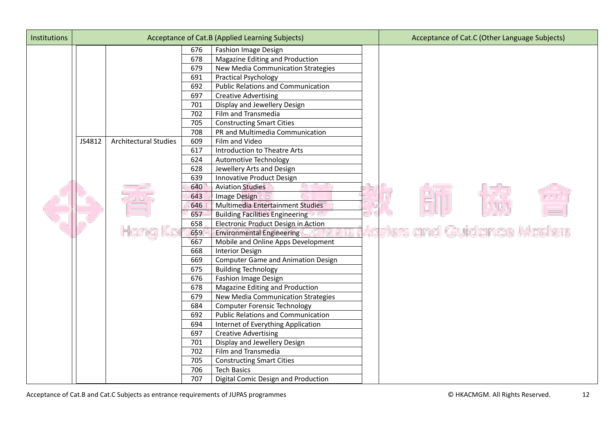| <b>Institutions</b> |        |                              |     | Acceptance of Cat.B (Applied Learning Subjects) | Acceptance of Cat.C (Other Language Subjects) |
|---------------------|--------|------------------------------|-----|-------------------------------------------------|-----------------------------------------------|
|                     |        |                              | 676 | <b>Fashion Image Design</b>                     |                                               |
|                     |        |                              | 678 | Magazine Editing and Production                 |                                               |
|                     |        |                              | 679 | New Media Communication Strategies              |                                               |
|                     |        |                              | 691 | <b>Practical Psychology</b>                     |                                               |
|                     |        |                              | 692 | <b>Public Relations and Communication</b>       |                                               |
|                     |        |                              | 697 | <b>Creative Advertising</b>                     |                                               |
|                     |        |                              | 701 | Display and Jewellery Design                    |                                               |
|                     |        |                              | 702 | Film and Transmedia                             |                                               |
|                     |        |                              | 705 | <b>Constructing Smart Cities</b>                |                                               |
|                     |        |                              | 708 | PR and Multimedia Communication                 |                                               |
|                     | JS4812 | <b>Architectural Studies</b> | 609 | Film and Video                                  |                                               |
|                     |        |                              | 617 | Introduction to Theatre Arts                    |                                               |
|                     |        |                              | 624 | Automotive Technology                           |                                               |
|                     |        |                              | 628 | Jewellery Arts and Design                       |                                               |
|                     |        |                              | 639 | Innovative Product Design                       |                                               |
|                     |        |                              | 640 | <b>Aviation Studies</b>                         |                                               |
|                     |        |                              | 643 | Image Design                                    |                                               |
|                     |        |                              | 646 | Multimedia Entertainment Studies                |                                               |
|                     |        |                              | 657 | <b>Building Facilities Engineering</b>          |                                               |
|                     |        |                              | 658 | Electronic Product Design in Action             |                                               |
|                     |        |                              | 659 | <b>Environmental Engineering</b>                | Adsters and Guidance Masters                  |
|                     |        |                              | 667 | Mobile and Online Apps Development              |                                               |
|                     |        |                              | 668 | <b>Interior Design</b>                          |                                               |
|                     |        |                              | 669 | <b>Computer Game and Animation Design</b>       |                                               |
|                     |        |                              | 675 | <b>Building Technology</b>                      |                                               |
|                     |        |                              | 676 | <b>Fashion Image Design</b>                     |                                               |
|                     |        |                              | 678 | Magazine Editing and Production                 |                                               |
|                     |        |                              | 679 | New Media Communication Strategies              |                                               |
|                     |        |                              | 684 | <b>Computer Forensic Technology</b>             |                                               |
|                     |        |                              | 692 | <b>Public Relations and Communication</b>       |                                               |
|                     |        |                              | 694 | Internet of Everything Application              |                                               |
|                     |        |                              | 697 | <b>Creative Advertising</b>                     |                                               |
|                     |        |                              | 701 | Display and Jewellery Design                    |                                               |
|                     |        |                              | 702 | Film and Transmedia                             |                                               |
|                     |        |                              | 705 | <b>Constructing Smart Cities</b>                |                                               |
|                     |        |                              | 706 | <b>Tech Basics</b>                              |                                               |
|                     |        |                              | 707 | Digital Comic Design and Production             |                                               |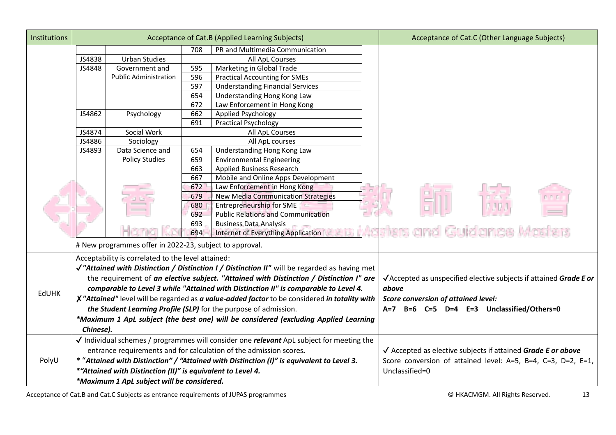| Institutions | Acceptance of Cat.B (Applied Learning Subjects)                                                   |                                                         |     |                                           | Acceptance of Cat.C (Other Language Subjects)                     |
|--------------|---------------------------------------------------------------------------------------------------|---------------------------------------------------------|-----|-------------------------------------------|-------------------------------------------------------------------|
|              |                                                                                                   |                                                         | 708 | PR and Multimedia Communication           |                                                                   |
|              | JS4838                                                                                            | <b>Urban Studies</b>                                    |     | All ApL Courses                           |                                                                   |
|              | JS4848                                                                                            | Government and                                          | 595 | Marketing in Global Trade                 |                                                                   |
|              |                                                                                                   | <b>Public Administration</b>                            | 596 | <b>Practical Accounting for SMEs</b>      |                                                                   |
|              |                                                                                                   |                                                         | 597 | <b>Understanding Financial Services</b>   |                                                                   |
|              |                                                                                                   |                                                         | 654 | Understanding Hong Kong Law               |                                                                   |
|              |                                                                                                   |                                                         | 672 | Law Enforcement in Hong Kong              |                                                                   |
|              | JS4862                                                                                            | Psychology                                              | 662 | Applied Psychology                        |                                                                   |
|              |                                                                                                   |                                                         | 691 | <b>Practical Psychology</b>               |                                                                   |
|              | JS4874                                                                                            | Social Work                                             |     | All ApL Courses                           |                                                                   |
|              | JS4886                                                                                            | Sociology                                               |     | All ApL courses                           |                                                                   |
|              | JS4893                                                                                            | Data Science and                                        | 654 | Understanding Hong Kong Law               |                                                                   |
|              |                                                                                                   | <b>Policy Studies</b>                                   | 659 | <b>Environmental Engineering</b>          |                                                                   |
|              |                                                                                                   |                                                         | 663 | Applied Business Research                 |                                                                   |
|              |                                                                                                   |                                                         | 667 | Mobile and Online Apps Development        |                                                                   |
|              |                                                                                                   |                                                         | 672 | Law Enforcement in Hong Kong              |                                                                   |
|              |                                                                                                   |                                                         | 679 | <b>New Media Communication Strategies</b> |                                                                   |
|              |                                                                                                   |                                                         | 680 | <b>Entrepreneurship for SME</b>           |                                                                   |
|              |                                                                                                   |                                                         | 692 | <b>Public Relations and Communication</b> |                                                                   |
|              |                                                                                                   |                                                         | 693 | <b>Business Data Analysis</b>             |                                                                   |
|              |                                                                                                   |                                                         | 694 | Internet of Everything Application        | sters and Guidance Masters                                        |
|              |                                                                                                   | # New programmes offer in 2022-23, subject to approval. |     |                                           |                                                                   |
|              |                                                                                                   | Acceptability is correlated to the level attained:      |     |                                           |                                                                   |
|              | √"Attained with Distinction / Distinction I / Distinction II" will be regarded as having met      |                                                         |     |                                           |                                                                   |
|              | the requirement of an elective subject. "Attained with Distinction / Distinction I" are           |                                                         |     |                                           | √Accepted as unspecified elective subjects if attained Grade E or |
|              | comparable to Level 3 while "Attained with Distinction II" is comparable to Level 4.              |                                                         |     |                                           | above                                                             |
| <b>EdUHK</b> | X "Attained" level will be regarded as a value-added factor to be considered in totality with     |                                                         |     |                                           | Score conversion of attained level:                               |
|              |                                                                                                   |                                                         |     |                                           | A=7 B=6 C=5 D=4 E=3 Unclassified/Others=0                         |
|              | the Student Learning Profile (SLP) for the purpose of admission.                                  |                                                         |     |                                           |                                                                   |
|              | *Maximum 1 ApL subject (the best one) will be considered (excluding Applied Learning<br>Chinese). |                                                         |     |                                           |                                                                   |
|              |                                                                                                   |                                                         |     |                                           |                                                                   |
|              | √ Individual schemes / programmes will consider one <i>relevant</i> ApL subject for meeting the   |                                                         |     |                                           |                                                                   |
|              | entrance requirements and for calculation of the admission scores.                                |                                                         |     |                                           | √ Accepted as elective subjects if attained Grade E or above      |
| PolyU        | * "Attained with Distinction" / "Attained with Distinction (I)" is equivalent to Level 3.         |                                                         |     |                                           | Score conversion of attained level: A=5, B=4, C=3, D=2, E=1,      |
|              | *"Attained with Distinction (II)" is equivalent to Level 4.                                       |                                                         |     |                                           | Unclassified=0                                                    |
|              | *Maximum 1 ApL subject will be considered.                                                        |                                                         |     |                                           |                                                                   |

Acceptance of Cat.B and Cat.C Subjects as entrance requirements of JUPAS programmes **CALL CONTENT CONSTRANT CONTENT** CONTENT CONTENT CONTENT CONTENT CONTENT CONTENT CONTENT CONTENT CONTENT CONTENT CONTENT OF THE SECTION OF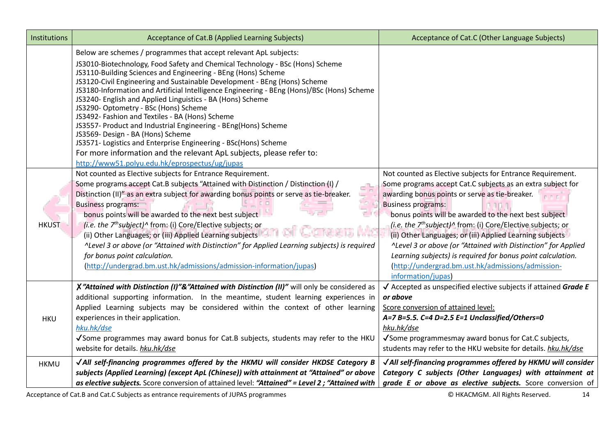| Institutions | Acceptance of Cat.B (Applied Learning Subjects)                                                                                                                                                                                                                                                                                                                                                                                                                                                                                                                                                                                                                                                                                                                                                                                                              | Acceptance of Cat.C (Other Language Subjects)                                                                                                                                                                                                                                                                                                                                                                                                                                                                                                                                                                                            |
|--------------|--------------------------------------------------------------------------------------------------------------------------------------------------------------------------------------------------------------------------------------------------------------------------------------------------------------------------------------------------------------------------------------------------------------------------------------------------------------------------------------------------------------------------------------------------------------------------------------------------------------------------------------------------------------------------------------------------------------------------------------------------------------------------------------------------------------------------------------------------------------|------------------------------------------------------------------------------------------------------------------------------------------------------------------------------------------------------------------------------------------------------------------------------------------------------------------------------------------------------------------------------------------------------------------------------------------------------------------------------------------------------------------------------------------------------------------------------------------------------------------------------------------|
|              | Below are schemes / programmes that accept relevant ApL subjects:<br>JS3010-Biotechnology, Food Safety and Chemical Technology - BSc (Hons) Scheme<br>JS3110-Building Sciences and Engineering - BEng (Hons) Scheme<br>JS3120-Civil Engineering and Sustainable Development - BEng (Hons) Scheme<br>JS3180-Information and Artificial Intelligence Engineering - BEng (Hons)/BSc (Hons) Scheme<br>JS3240- English and Applied Linguistics - BA (Hons) Scheme<br>JS3290- Optometry - BSc (Hons) Scheme<br>JS3492- Fashion and Textiles - BA (Hons) Scheme<br>JS3557- Product and Industrial Engineering - BEng(Hons) Scheme<br>JS3569- Design - BA (Hons) Scheme<br>JS3571- Logistics and Enterprise Engineering - BSc(Hons) Scheme<br>For more information and the relevant ApL subjects, please refer to:<br>http://www51.polyu.edu.hk/eprospectus/ug/jupas |                                                                                                                                                                                                                                                                                                                                                                                                                                                                                                                                                                                                                                          |
| <b>HKUST</b> | Not counted as Elective subjects for Entrance Requirement.<br>Some programs accept Cat.B subjects "Attained with Distinction / Distinction (I) /<br>Distinction (II)" as an extra subject for awarding bonus points or serve as tie-breaker.<br>−<br><b>Business programs:</b><br>bonus points will be awarded to the next best subject<br>( <i>i.e. the 7<sup>th</sup>subject</i> ) $\wedge$ from: (i) Core/Elective subjects; or<br>(ii) Other Languages; or (iii) Applied Learning subjects<br>^Level 3 or above (or "Attained with Distinction" for Applied Learning subjects) is required<br>for bonus point calculation.<br>(http://undergrad.bm.ust.hk/admissions/admission-information/jupas)                                                                                                                                                        | Not counted as Elective subjects for Entrance Requirement.<br>Some programs accept Cat.C subjects as an extra subject for<br>awarding bonus points or serve as tie-breaker.<br><b>Business programs:</b><br>bonus points will be awarded to the next best subject<br>(i.e. the $7th subject)$ <sup><math>\wedge</math></sup> from: (i) Core/Elective subjects; or<br>(ii) Other Languages; or (iii) Applied Learning subjects<br>^Level 3 or above (or "Attained with Distinction" for Applied<br>Learning subjects) is required for bonus point calculation.<br>(http://undergrad.bm.ust.hk/admissions/admission-<br>information/jupas) |
| <b>HKU</b>   | X"Attained with Distinction (I)"&"Attained with Distinction (II)" will only be considered as<br>additional supporting information. In the meantime, student learning experiences in<br>Applied Learning subjects may be considered within the context of other learning<br>experiences in their application.<br>hku.hk/dse<br>√Some programmes may award bonus for Cat.B subjects, students may refer to the HKU<br>website for details. hku.hk/dse                                                                                                                                                                                                                                                                                                                                                                                                          | $\sqrt{\ }$ Accepted as unspecified elective subjects if attained Grade E<br>or above<br>Score conversion of attained level:<br>A=7 B=5.5. C=4 D=2.5 E=1 Unclassified/Others=0<br>hku.hk/dse<br>√ Some programmes may award bonus for Cat.C subjects,<br>students may refer to the HKU website for details. hku.hk/dse                                                                                                                                                                                                                                                                                                                   |
| <b>HKMU</b>  | √ All self-financing programmes offered by the HKMU will consider HKDSE Category B<br>subjects (Applied Learning) (except ApL (Chinese)) with attainment at "Attained" or above<br>as elective subjects. Score conversion of attained level: "Attained" = Level 2; "Attained with                                                                                                                                                                                                                                                                                                                                                                                                                                                                                                                                                                            | √ All self-financing programmes offered by HKMU will consider<br>Category C subjects (Other Languages) with attainment at<br>grade E or above as elective subjects. Score conversion of                                                                                                                                                                                                                                                                                                                                                                                                                                                  |

Acceptance of Cat.B and Cat.C Subjects as entrance requirements of JUPAS programmes **COMMAN CONSTANT CONSTANT CONSTANT CONSTANT** CONSULTED A 14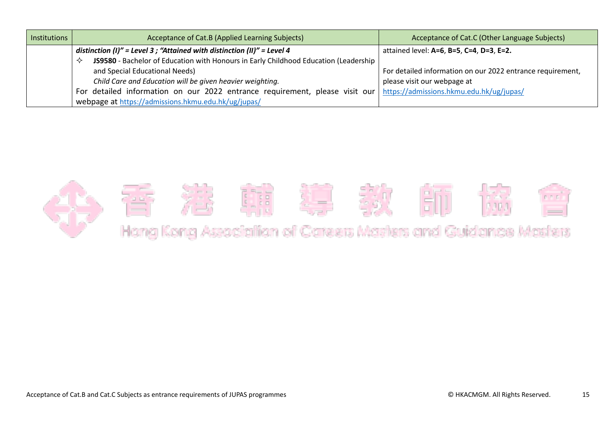| Institutions | Acceptance of Cat.B (Applied Learning Subjects)                                            | Acceptance of Cat.C (Other Language Subjects)              |
|--------------|--------------------------------------------------------------------------------------------|------------------------------------------------------------|
|              | distinction (I)" = Level 3 ; "Attained with distinction (II)" = Level 4                    | attained level: A=6, B=5, C=4, D=3, E=2.                   |
|              | JS9580 - Bachelor of Education with Honours in Early Childhood Education (Leadership<br>≺≻ |                                                            |
|              | and Special Educational Needs)                                                             | For detailed information on our 2022 entrance requirement, |
|              | Child Care and Education will be given heavier weighting.                                  | please visit our webpage at                                |
|              | For detailed information on our 2022 entrance requirement, please visit our                | https://admissions.hkmu.edu.hk/ug/jupas/                   |
|              | webpage at https://admissions.hkmu.edu.hk/ug/jupas/                                        |                                                            |

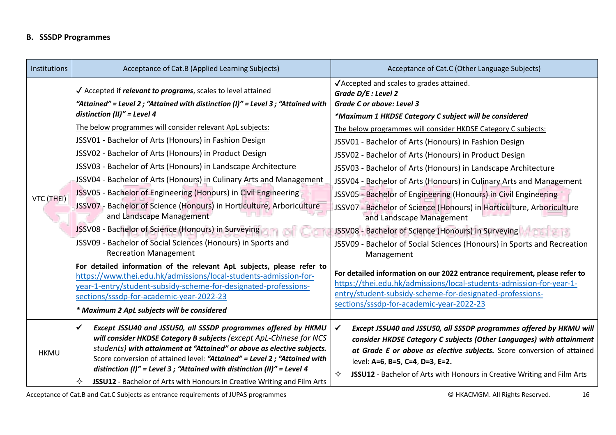## **B. SSSDP Programmes**

| Institutions | Acceptance of Cat.B (Applied Learning Subjects)                                                                                                                                                                                                                                                                                                                                                                                                                                                                                                                                                                                                                                                                                                                                                                                                                                                                                                                                                                                                                                                                                                                             | Acceptance of Cat.C (Other Language Subjects)                                                                                                                                                                                                                                                                                                                                                                                                                                                                                                                                                                                                                                                                                                                                                                                                                                                                                                                                                                                                                          |
|--------------|-----------------------------------------------------------------------------------------------------------------------------------------------------------------------------------------------------------------------------------------------------------------------------------------------------------------------------------------------------------------------------------------------------------------------------------------------------------------------------------------------------------------------------------------------------------------------------------------------------------------------------------------------------------------------------------------------------------------------------------------------------------------------------------------------------------------------------------------------------------------------------------------------------------------------------------------------------------------------------------------------------------------------------------------------------------------------------------------------------------------------------------------------------------------------------|------------------------------------------------------------------------------------------------------------------------------------------------------------------------------------------------------------------------------------------------------------------------------------------------------------------------------------------------------------------------------------------------------------------------------------------------------------------------------------------------------------------------------------------------------------------------------------------------------------------------------------------------------------------------------------------------------------------------------------------------------------------------------------------------------------------------------------------------------------------------------------------------------------------------------------------------------------------------------------------------------------------------------------------------------------------------|
| VTC (THEI)   | $\sqrt{\phantom{a}}$ Accepted if <i>relevant to programs</i> , scales to level attained<br>"Attained" = Level 2; "Attained with distinction (I)" = Level 3; "Attained with<br>distinction (II)" = Level 4<br>The below programmes will consider relevant ApL subjects:<br>JSSV01 - Bachelor of Arts (Honours) in Fashion Design<br>JSSV02 - Bachelor of Arts (Honours) in Product Design<br>JSSV03 - Bachelor of Arts (Honours) in Landscape Architecture<br>JSSV04 - Bachelor of Arts (Honours) in Culinary Arts and Management<br>JSSV05 - Bachelor of Engineering (Honours) in Civil Engineering<br>JSSV07 - Bachelor of Science (Honours) in Horticulture, Arboriculture<br>and Landscape Management<br>JSSV08 - Bachelor of Science (Honours) in Surveying<br>JSSV09 - Bachelor of Social Sciences (Honours) in Sports and<br><b>Recreation Management</b><br>For detailed information of the relevant ApL subjects, please refer to<br>https://www.thei.edu.hk/admissions/local-students-admission-for-<br>year-1-entry/student-subsidy-scheme-for-designated-professions-<br>sections/sssdp-for-academic-year-2022-23<br>* Maximum 2 ApL subjects will be considered | √Accepted and scales to grades attained.<br>Grade D/E : Level 2<br>Grade C or above: Level 3<br>*Maximum 1 HKDSE Category C subject will be considered<br>The below programmes will consider HKDSE Category C subjects:<br>JSSV01 - Bachelor of Arts (Honours) in Fashion Design<br>JSSV02 - Bachelor of Arts (Honours) in Product Design<br>JSSV03 - Bachelor of Arts (Honours) in Landscape Architecture<br>JSSV04 - Bachelor of Arts (Honours) in Culinary Arts and Management<br>JSSV05 - Bachelor of Engineering (Honours) in Civil Engineering<br>JSSV07 - Bachelor of Science (Honours) in Horticulture, Arboriculture<br>and Landscape Management<br>JSSV08 - Bachelor of Science (Honours) in Surveying<br>JSSV09 - Bachelor of Social Sciences (Honours) in Sports and Recreation<br>Management<br>For detailed information on our 2022 entrance requirement, please refer to<br>https://thei.edu.hk/admissions/local-students-admission-for-year-1-<br>entry/student-subsidy-scheme-for-designated-professions-<br>sections/sssdp-for-academic-year-2022-23 |
| <b>HKMU</b>  | Except JSSU40 and JSSU50, all SSSDP programmes offered by HKMU<br>✓<br>will consider HKDSE Category B subjects (except ApL-Chinese for NCS<br>students) with attainment at "Attained" or above as elective subjects.<br>Score conversion of attained level: "Attained" = Level 2; "Attained with<br>distinction (I)" = Level 3 ; "Attained with distinction (II)" = Level 4<br>JSSU12 - Bachelor of Arts with Honours in Creative Writing and Film Arts<br>✧                                                                                                                                                                                                                                                                                                                                                                                                                                                                                                                                                                                                                                                                                                                | Except JSSU40 and JSSU50, all SSSDP programmes offered by HKMU will<br>consider HKDSE Category C subjects (Other Languages) with attainment<br>at Grade E or above as elective subjects. Score conversion of attained<br>level: A=6, B=5, C=4, D=3, E=2.<br>✧<br>JSSU12 - Bachelor of Arts with Honours in Creative Writing and Film Arts                                                                                                                                                                                                                                                                                                                                                                                                                                                                                                                                                                                                                                                                                                                              |

Acceptance of Cat.B and Cat.C Subjects as entrance requirements of JUPAS programmes **Exercise 20 COMS** COMEX COMB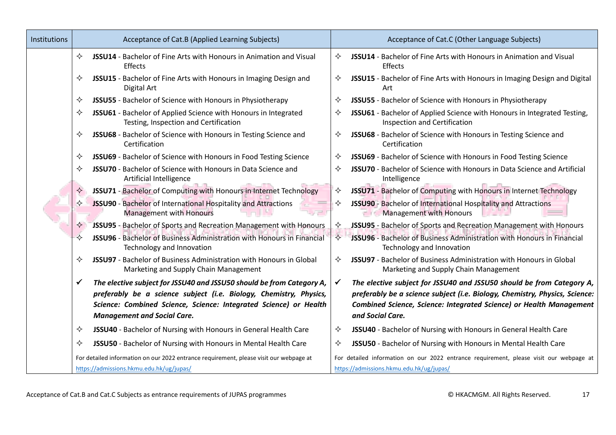| Institutions | Acceptance of Cat.B (Applied Learning Subjects)                                                                                                                                                                                                             | Acceptance of Cat.C (Other Language Subjects)                                                                                                                                                                                                   |  |
|--------------|-------------------------------------------------------------------------------------------------------------------------------------------------------------------------------------------------------------------------------------------------------------|-------------------------------------------------------------------------------------------------------------------------------------------------------------------------------------------------------------------------------------------------|--|
|              | JSSU14 - Bachelor of Fine Arts with Honours in Animation and Visual<br>✧<br>Effects                                                                                                                                                                         | JSSU14 - Bachelor of Fine Arts with Honours in Animation and Visual<br>✧<br>Effects                                                                                                                                                             |  |
|              | JSSU15 - Bachelor of Fine Arts with Honours in Imaging Design and<br>✧<br>Digital Art                                                                                                                                                                       | JSSU15 - Bachelor of Fine Arts with Honours in Imaging Design and Digital<br>✧<br>Art                                                                                                                                                           |  |
|              | JSSU55 - Bachelor of Science with Honours in Physiotherapy<br>✧                                                                                                                                                                                             | ✧<br>JSSU55 - Bachelor of Science with Honours in Physiotherapy                                                                                                                                                                                 |  |
|              | JSSU61 - Bachelor of Applied Science with Honours in Integrated<br>✧<br>Testing, Inspection and Certification                                                                                                                                               | JSSU61 - Bachelor of Applied Science with Honours in Integrated Testing,<br>✧<br>Inspection and Certification                                                                                                                                   |  |
|              | JSSU68 - Bachelor of Science with Honours in Testing Science and<br>✧<br>Certification                                                                                                                                                                      | JSSU68 - Bachelor of Science with Honours in Testing Science and<br>✧<br>Certification                                                                                                                                                          |  |
|              | JSSU69 - Bachelor of Science with Honours in Food Testing Science<br>✧                                                                                                                                                                                      | JSSU69 - Bachelor of Science with Honours in Food Testing Science<br>✧                                                                                                                                                                          |  |
|              | JSSU70 - Bachelor of Science with Honours in Data Science and<br>✧<br>Artificial Intelligence                                                                                                                                                               | JSSU70 - Bachelor of Science with Honours in Data Science and Artificial<br>✧<br>Intelligence                                                                                                                                                   |  |
|              | JSSU71 - Bachelor of Computing with Honours in Internet Technology<br>✧                                                                                                                                                                                     | JSSU71 - Bachelor of Computing with Honours in Internet Technology<br>✧                                                                                                                                                                         |  |
|              | JSSU90 - Bachelor of International Hospitality and Attractions<br>✧<br>Management with Honours                                                                                                                                                              | JSSU90 - Bachelor of International Hospitality and Attractions<br>✧<br>Management with Honours                                                                                                                                                  |  |
|              | JSSU95 - Bachelor of Sports and Recreation Management with Honours<br>✧                                                                                                                                                                                     | JSSU95 - Bachelor of Sports and Recreation Management with Honours<br>✧                                                                                                                                                                         |  |
|              | JSSU96 - Bachelor of Business Administration with Honours in Financial<br>✧<br>Technology and Innovation                                                                                                                                                    | JSSU96 - Bachelor of Business Administration with Honours in Financial<br>✧<br>Technology and Innovation                                                                                                                                        |  |
|              | JSSU97 - Bachelor of Business Administration with Honours in Global<br>✧<br>Marketing and Supply Chain Management                                                                                                                                           | ✧<br>JSSU97 - Bachelor of Business Administration with Honours in Global<br>Marketing and Supply Chain Management                                                                                                                               |  |
|              | The elective subject for JSSU40 and JSSU50 should be from Category A,<br>✔<br>preferably be a science subject (i.e. Biology, Chemistry, Physics,<br>Science: Combined Science, Science: Integrated Science) or Health<br><b>Management and Social Care.</b> | The elective subject for JSSU40 and JSSU50 should be from Category A,<br>preferably be a science subject (i.e. Biology, Chemistry, Physics, Science:<br>Combined Science, Science: Integrated Science) or Health Management<br>and Social Care. |  |
|              | JSSU40 - Bachelor of Nursing with Honours in General Health Care<br>✧                                                                                                                                                                                       | JSSU40 - Bachelor of Nursing with Honours in General Health Care<br>✧                                                                                                                                                                           |  |
|              | JSSU50 - Bachelor of Nursing with Honours in Mental Health Care<br>✧                                                                                                                                                                                        | JSSU50 - Bachelor of Nursing with Honours in Mental Health Care<br>✧                                                                                                                                                                            |  |
|              | For detailed information on our 2022 entrance requirement, please visit our webpage at                                                                                                                                                                      | For detailed information on our 2022 entrance requirement, please visit our webpage at                                                                                                                                                          |  |
|              | https://admissions.hkmu.edu.hk/ug/jupas/                                                                                                                                                                                                                    | https://admissions.hkmu.edu.hk/ug/jupas/                                                                                                                                                                                                        |  |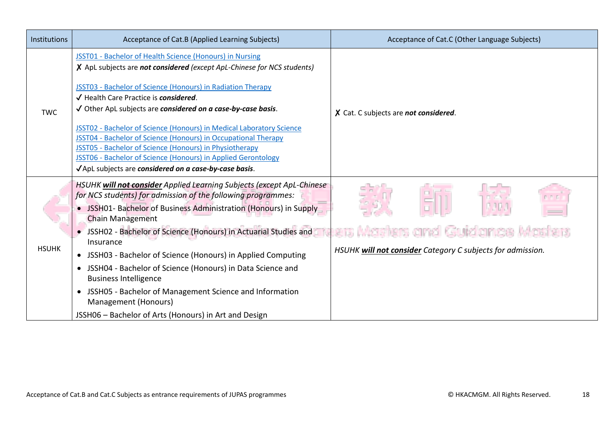| Institutions | Acceptance of Cat.B (Applied Learning Subjects)                                                                                                                                                                                                                                                                                                                                                                                                                                                                                                                                                                                                          | Acceptance of Cat.C (Other Language Subjects)                                                  |
|--------------|----------------------------------------------------------------------------------------------------------------------------------------------------------------------------------------------------------------------------------------------------------------------------------------------------------------------------------------------------------------------------------------------------------------------------------------------------------------------------------------------------------------------------------------------------------------------------------------------------------------------------------------------------------|------------------------------------------------------------------------------------------------|
| <b>TWC</b>   | JSST01 - Bachelor of Health Science (Honours) in Nursing<br>X ApL subjects are not considered (except ApL-Chinese for NCS students)<br>JSST03 - Bachelor of Science (Honours) in Radiation Therapy<br>√ Health Care Practice is considered.<br>√ Other ApL subjects are considered on a case-by-case basis.<br>JSST02 - Bachelor of Science (Honours) in Medical Laboratory Science<br><b>JSST04 - Bachelor of Science (Honours) in Occupational Therapy</b><br>JSST05 - Bachelor of Science (Honours) in Physiotherapy<br><b>JSST06 - Bachelor of Science (Honours) in Applied Gerontology</b><br>√ApL subjects are considered on a case-by-case basis. | X Cat. C subjects are not considered.                                                          |
| <b>HSUHK</b> | HSUHK will not consider Applied Learning Subjects (except ApL-Chinese<br>for NCS students) for admission of the following programmes:<br>• JSSH01- Bachelor of Business Administration (Honours) in Supply<br><b>Chain Management</b><br>JSSH02 - Bachelor of Science (Honours) in Actuarial Studies and<br>Insurance<br>• JSSH03 - Bachelor of Science (Honours) in Applied Computing<br>• JSSH04 - Bachelor of Science (Honours) in Data Science and<br><b>Business Intelligence</b><br>JSSH05 - Bachelor of Management Science and Information<br>Management (Honours)<br>JSSH06 – Bachelor of Arts (Honours) in Art and Design                       | ers Masters and Guidance Masters<br>HSUHK will not consider Category C subjects for admission. |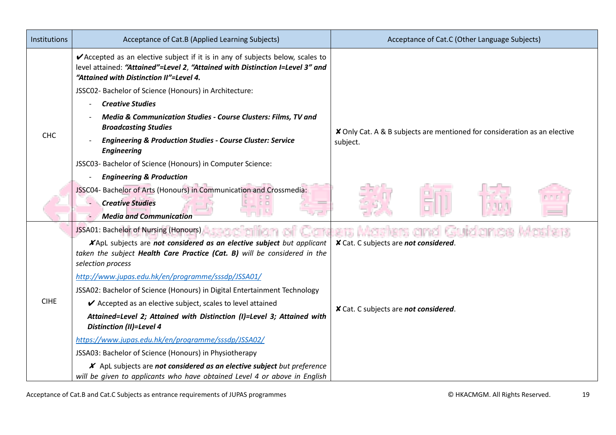| Institutions | Acceptance of Cat.B (Applied Learning Subjects)                                                                                                                                                            | Acceptance of Cat.C (Other Language Subjects)                             |  |
|--------------|------------------------------------------------------------------------------------------------------------------------------------------------------------------------------------------------------------|---------------------------------------------------------------------------|--|
|              | ✔ Accepted as an elective subject if it is in any of subjects below, scales to<br>level attained: "Attained"=Level 2, "Attained with Distinction I=Level 3" and<br>"Attained with Distinction II"=Level 4. |                                                                           |  |
|              | JSSC02- Bachelor of Science (Honours) in Architecture:                                                                                                                                                     |                                                                           |  |
|              | <b>Creative Studies</b>                                                                                                                                                                                    |                                                                           |  |
|              | Media & Communication Studies - Course Clusters: Films, TV and<br><b>Broadcasting Studies</b>                                                                                                              | X Only Cat. A & B subjects are mentioned for consideration as an elective |  |
| <b>CHC</b>   | <b>Engineering &amp; Production Studies - Course Cluster: Service</b><br><b>Engineering</b>                                                                                                                | subject.                                                                  |  |
|              | JSSC03- Bachelor of Science (Honours) in Computer Science:                                                                                                                                                 |                                                                           |  |
|              | <b>Engineering &amp; Production</b>                                                                                                                                                                        |                                                                           |  |
|              | JSSC04- Bachelor of Arts (Honours) in Communication and Crossmedia:                                                                                                                                        |                                                                           |  |
|              | <b>Creative Studies</b>                                                                                                                                                                                    |                                                                           |  |
|              | <b>Media and Communication</b>                                                                                                                                                                             |                                                                           |  |
|              | JSSA01: Bachelor of Nursing (Honours)<br>staciatio                                                                                                                                                         | Masters and Guidance Mast<br>ers.                                         |  |
|              | XApL subjects are not considered as an elective subject but applicant                                                                                                                                      | X Cat. C subjects are not considered.                                     |  |
|              | taken the subject Health Care Practice (Cat. B) will be considered in the<br>selection process                                                                                                             |                                                                           |  |
|              | http://www.jupas.edu.hk/en/programme/sssdp/JSSA01/                                                                                                                                                         |                                                                           |  |
|              | JSSA02: Bachelor of Science (Honours) in Digital Entertainment Technology                                                                                                                                  |                                                                           |  |
| <b>CIHE</b>  | ✔ Accepted as an elective subject, scales to level attained                                                                                                                                                | X Cat. C subjects are not considered.                                     |  |
|              | Attained=Level 2; Attained with Distinction (I)=Level 3; Attained with<br><b>Distinction (II)=Level 4</b>                                                                                                  |                                                                           |  |
|              | https://www.jupas.edu.hk/en/programme/sssdp/JSSA02/                                                                                                                                                        |                                                                           |  |
|              | JSSA03: Bachelor of Science (Honours) in Physiotherapy                                                                                                                                                     |                                                                           |  |
|              | X ApL subjects are not considered as an elective subject but preference                                                                                                                                    |                                                                           |  |
|              | will be given to applicants who have obtained Level 4 or above in English                                                                                                                                  |                                                                           |  |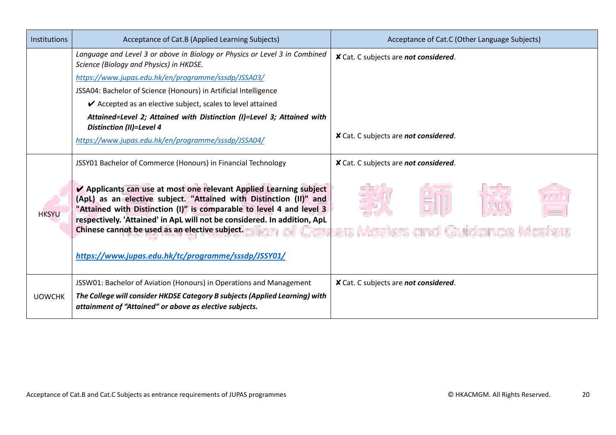| <b>Institutions</b> | Acceptance of Cat.B (Applied Learning Subjects)                                                                                                                                                                                                                                                                                                                                                       | Acceptance of Cat.C (Other Language Subjects) |
|---------------------|-------------------------------------------------------------------------------------------------------------------------------------------------------------------------------------------------------------------------------------------------------------------------------------------------------------------------------------------------------------------------------------------------------|-----------------------------------------------|
|                     | Language and Level 3 or above in Biology or Physics or Level 3 in Combined<br>Science (Biology and Physics) in HKDSE.                                                                                                                                                                                                                                                                                 | X Cat. C subjects are not considered.         |
|                     | https://www.jupas.edu.hk/en/programme/sssdp/JSSA03/                                                                                                                                                                                                                                                                                                                                                   |                                               |
|                     | JSSA04: Bachelor of Science (Honours) in Artificial Intelligence                                                                                                                                                                                                                                                                                                                                      |                                               |
|                     | ✔ Accepted as an elective subject, scales to level attained                                                                                                                                                                                                                                                                                                                                           |                                               |
|                     | Attained=Level 2; Attained with Distinction (I)=Level 3; Attained with<br><b>Distinction (II)=Level 4</b><br>https://www.jupas.edu.hk/en/programme/sssdp/JSSA04/                                                                                                                                                                                                                                      | X Cat. C subjects are not considered.         |
|                     | JSSY01 Bachelor of Commerce (Honours) in Financial Technology                                                                                                                                                                                                                                                                                                                                         | X Cat. C subjects are not considered.         |
| <b>HKSYU</b>        | ✔ Applicants can use at most one relevant Applied Learning subject<br>(ApL) as an elective subject. "Attained with Distinction (II)" and<br>"Attained with Distinction (I)" is comparable to level 4 and level 3<br>respectively. 'Attained' in ApL will not be considered. In addition, ApL<br>Chinese cannot be used as an elective subject.<br>https://www.jupas.edu.hk/tc/programme/sssdp/JSSY01/ | iers Masters and Guidance Masters             |
| <b>UOWCHK</b>       | JSSW01: Bachelor of Aviation (Honours) in Operations and Management<br>The College will consider HKDSE Category B subjects (Applied Learning) with<br>attainment of "Attained" or above as elective subjects.                                                                                                                                                                                         | X Cat. C subjects are not considered.         |